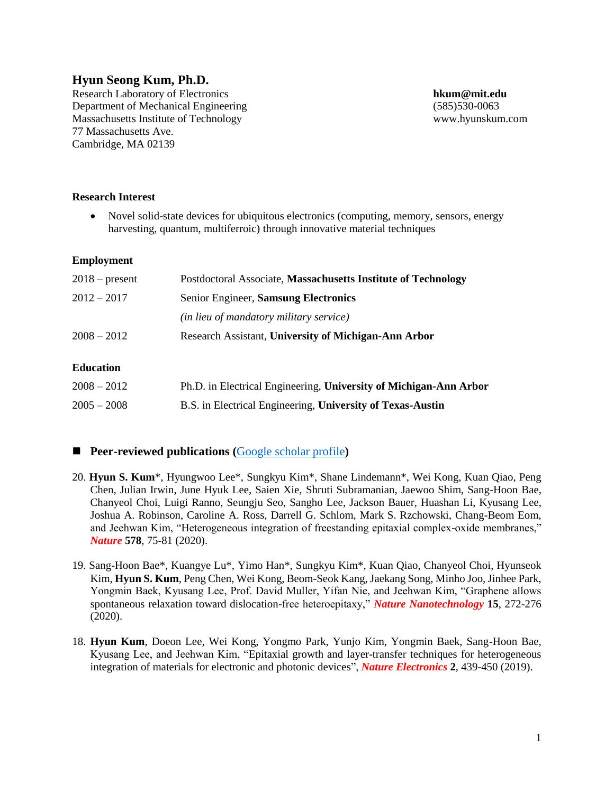# **Hyun Seong Kum, Ph.D.**

Research Laboratory of Electronics **hkum@mit.edu** Department of Mechanical Engineering (585)530-0063 Massachusetts Institute of Technology www.hyunskum.com 77 Massachusetts Ave. Cambridge, MA 02139

#### **Research Interest**

• Novel solid-state devices for ubiquitous electronics (computing, memory, sensors, energy harvesting, quantum, multiferroic) through innovative material techniques

#### **Employment**

| $2018$ – present | Postdoctoral Associate, Massachusetts Institute of Technology |
|------------------|---------------------------------------------------------------|
| $2012 - 2017$    | Senior Engineer, Samsung Electronics                          |
|                  | (in lieu of mandatory military service)                       |
| $2008 - 2012$    | Research Assistant, University of Michigan-Ann Arbor          |
|                  |                                                               |

#### **Education**

| $2008 - 2012$ | Ph.D. in Electrical Engineering, University of Michigan-Ann Arbor |
|---------------|-------------------------------------------------------------------|
| $2005 - 2008$ | B.S. in Electrical Engineering, University of Texas-Austin        |

#### ■ **Peer-reviewed publications** ([Google scholar profile](https://scholar.google.com/citations?user=us7zKsMAAAAJ&hl=en))

- 20. **Hyun S. Kum**\*, Hyungwoo Lee\*, Sungkyu Kim\*, Shane Lindemann\*, Wei Kong, Kuan Qiao, Peng Chen, Julian Irwin, June Hyuk Lee, Saien Xie, Shruti Subramanian, Jaewoo Shim, Sang-Hoon Bae, Chanyeol Choi, Luigi Ranno, Seungju Seo, Sangho Lee, Jackson Bauer, Huashan Li, Kyusang Lee, Joshua A. Robinson, Caroline A. Ross, Darrell G. Schlom, Mark S. Rzchowski, Chang-Beom Eom, and Jeehwan Kim, "Heterogeneous integration of freestanding epitaxial complex-oxide membranes," *Nature* **578**, 75-81 (2020).
- 19. Sang-Hoon Bae\*, Kuangye Lu\*, Yimo Han\*, Sungkyu Kim\*, Kuan Qiao, Chanyeol Choi, Hyunseok Kim, **Hyun S. Kum**, Peng Chen, Wei Kong, Beom-Seok Kang, Jaekang Song, Minho Joo, Jinhee Park, Yongmin Baek, Kyusang Lee, Prof. David Muller, Yifan Nie, and Jeehwan Kim, "Graphene allows spontaneous relaxation toward dislocation-free heteroepitaxy," *Nature Nanotechnology* **15**, 272-276 (2020).
- 18. **Hyun Kum**, Doeon Lee, Wei Kong, Yongmo Park, Yunjo Kim, Yongmin Baek, Sang-Hoon Bae, Kyusang Lee, and Jeehwan Kim, "Epitaxial growth and layer-transfer techniques for heterogeneous integration of materials for electronic and photonic devices", *Nature Electronics* **2**, 439-450 (2019).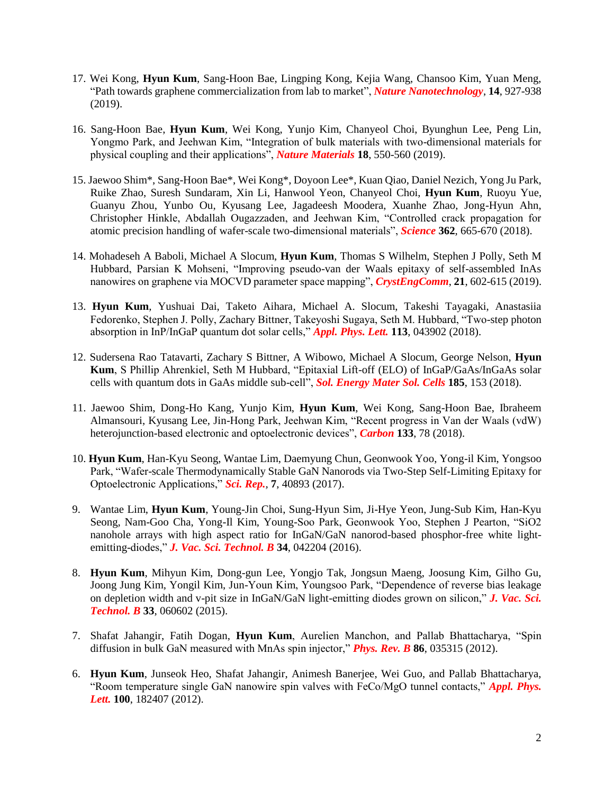- 17. Wei Kong, **Hyun Kum**, Sang-Hoon Bae, Lingping Kong, Kejia Wang, Chansoo Kim, Yuan Meng, "Path towards graphene commercialization from lab to market", *Nature Nanotechnology*, **14**, 927-938 (2019).
- 16. Sang-Hoon Bae, **Hyun Kum**, Wei Kong, Yunjo Kim, Chanyeol Choi, Byunghun Lee, Peng Lin, Yongmo Park, and Jeehwan Kim, "Integration of bulk materials with two-dimensional materials for physical coupling and their applications", *Nature Materials* **18**, 550-560 (2019).
- 15. Jaewoo Shim\*, Sang-Hoon Bae\*, Wei Kong\*, Doyoon Lee\*, Kuan Qiao, Daniel Nezich, Yong Ju Park, Ruike Zhao, Suresh Sundaram, Xin Li, Hanwool Yeon, Chanyeol Choi, **Hyun Kum**, Ruoyu Yue, Guanyu Zhou, Yunbo Ou, Kyusang Lee, Jagadeesh Moodera, Xuanhe Zhao, Jong-Hyun Ahn, Christopher Hinkle, Abdallah Ougazzaden, and Jeehwan Kim, "Controlled crack propagation for atomic precision handling of wafer-scale two-dimensional materials", *Science* **362**, 665-670 (2018).
- 14. Mohadeseh A Baboli, Michael A Slocum, **Hyun Kum**, Thomas S Wilhelm, Stephen J Polly, Seth M Hubbard, Parsian K Mohseni, "Improving pseudo-van der Waals epitaxy of self-assembled InAs nanowires on graphene via MOCVD parameter space mapping", *CrystEngComm*, **21**, 602-615 (2019).
- 13. **Hyun Kum**, Yushuai Dai, Taketo Aihara, Michael A. Slocum, Takeshi Tayagaki, Anastasiia Fedorenko, Stephen J. Polly, Zachary Bittner, Takeyoshi Sugaya, Seth M. Hubbard, "Two-step photon absorption in InP/InGaP quantum dot solar cells," *Appl. Phys. Lett.* **113**, 043902 (2018).
- 12. Sudersena Rao Tatavarti, Zachary S Bittner, A Wibowo, Michael A Slocum, George Nelson, **Hyun Kum**, S Phillip Ahrenkiel, Seth M Hubbard, "Epitaxial Lift-off (ELO) of InGaP/GaAs/InGaAs solar cells with quantum dots in GaAs middle sub-cell", *Sol. Energy Mater Sol. Cells* **185**, 153 (2018).
- 11. Jaewoo Shim, Dong-Ho Kang, Yunjo Kim, **Hyun Kum**, Wei Kong, Sang-Hoon Bae, Ibraheem Almansouri, Kyusang Lee, Jin-Hong Park, Jeehwan Kim, "Recent progress in Van der Waals (vdW) heterojunction-based electronic and optoelectronic devices", *Carbon* **133**, 78 (2018).
- 10. **Hyun Kum**, Han-Kyu Seong, Wantae Lim, Daemyung Chun, Geonwook Yoo, Yong-il Kim, Yongsoo Park, "Wafer-scale Thermodynamically Stable GaN Nanorods via Two-Step Self-Limiting Epitaxy for Optoelectronic Applications," *Sci. Rep.,* **7**, 40893 (2017).
- 9. Wantae Lim, **Hyun Kum**, Young-Jin Choi, Sung-Hyun Sim, Ji-Hye Yeon, Jung-Sub Kim, Han-Kyu Seong, Nam-Goo Cha, Yong-Il Kim, Young-Soo Park, Geonwook Yoo, Stephen J Pearton, "SiO2 nanohole arrays with high aspect ratio for InGaN/GaN nanorod-based phosphor-free white lightemitting-diodes," *J. Vac. Sci. Technol. B* **34**, 042204 (2016).
- 8. **Hyun Kum**, Mihyun Kim, Dong-gun Lee, Yongjo Tak, Jongsun Maeng, Joosung Kim, Gilho Gu, Joong Jung Kim, Yongil Kim, Jun-Youn Kim, Youngsoo Park, "Dependence of reverse bias leakage on depletion width and v-pit size in InGaN/GaN light-emitting diodes grown on silicon," *J. Vac. Sci. Technol. B* **33**, 060602 (2015).
- 7. Shafat Jahangir, Fatih Dogan, **Hyun Kum**, Aurelien Manchon, and Pallab Bhattacharya, "Spin diffusion in bulk GaN measured with MnAs spin injector," *Phys. Rev. B* **86**, 035315 (2012).
- 6. **Hyun Kum**, Junseok Heo, Shafat Jahangir, Animesh Banerjee, Wei Guo, and Pallab Bhattacharya, "Room temperature single GaN nanowire spin valves with FeCo/MgO tunnel contacts," *Appl. Phys. Lett.* **100**, 182407 (2012).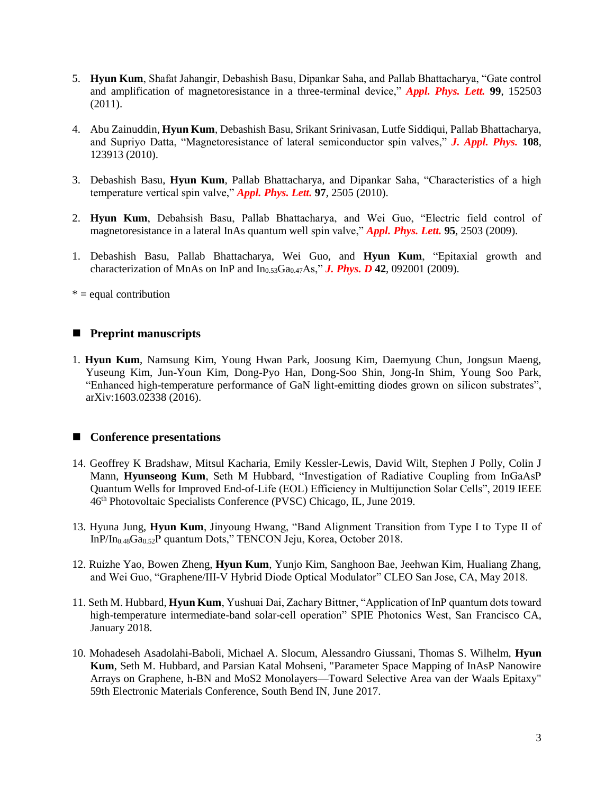- 5. **Hyun Kum**, Shafat Jahangir, Debashish Basu, Dipankar Saha, and Pallab Bhattacharya, "Gate control and amplification of magnetoresistance in a three-terminal device," *Appl. Phys. Lett.* **99**, 152503 (2011).
- 4. Abu Zainuddin, **Hyun Kum**, Debashish Basu, Srikant Srinivasan, Lutfe Siddiqui, Pallab Bhattacharya, and Supriyo Datta, "Magnetoresistance of lateral semiconductor spin valves," *J. Appl. Phys.* **108**, 123913 (2010).
- 3. Debashish Basu, **Hyun Kum**, Pallab Bhattacharya, and Dipankar Saha, "Characteristics of a high temperature vertical spin valve," *Appl. Phys. Lett.* **97**, 2505 (2010).
- 2. **Hyun Kum**, Debahsish Basu, Pallab Bhattacharya, and Wei Guo, "Electric field control of magnetoresistance in a lateral InAs quantum well spin valve," *Appl. Phys. Lett.* **95**, 2503 (2009).
- 1. Debashish Basu, Pallab Bhattacharya, Wei Guo, and **Hyun Kum**, "Epitaxial growth and characterization of MnAs on InP and  $In<sub>0.53</sub>Ga<sub>0.47</sub>As$ ," **J. Phys. D 42**, 092001 (2009).

 $* =$  equal contribution

### ■ **Preprint manuscripts**

1. **Hyun Kum**, Namsung Kim, Young Hwan Park, Joosung Kim, Daemyung Chun, Jongsun Maeng, Yuseung Kim, Jun-Youn Kim, Dong-Pyo Han, Dong-Soo Shin, Jong-In Shim, Young Soo Park, "Enhanced high-temperature performance of GaN light-emitting diodes grown on silicon substrates", arXiv:1603.02338 (2016).

### ■ **Conference presentations**

- 14. Geoffrey K Bradshaw, Mitsul Kacharia, Emily Kessler-Lewis, David Wilt, Stephen J Polly, Colin J Mann, **Hyunseong Kum**, Seth M Hubbard, "Investigation of Radiative Coupling from InGaAsP Quantum Wells for Improved End-of-Life (EOL) Efficiency in Multijunction Solar Cells", 2019 IEEE 46th Photovoltaic Specialists Conference (PVSC) Chicago, IL, June 2019.
- 13. Hyuna Jung, **Hyun Kum**, Jinyoung Hwang, "Band Alignment Transition from Type I to Type II of InP/In<sub>0.48</sub>Ga<sub>0.52</sub>P quantum Dots," TENCON Jeju, Korea, October 2018.
- 12. Ruizhe Yao, Bowen Zheng, **Hyun Kum**, Yunjo Kim, Sanghoon Bae, Jeehwan Kim, Hualiang Zhang, and Wei Guo, "Graphene/III-V Hybrid Diode Optical Modulator" CLEO San Jose, CA, May 2018.
- 11. Seth M. Hubbard, **Hyun Kum**, Yushuai Dai, Zachary Bittner, "Application of InP quantum dots toward high-temperature intermediate-band solar-cell operation" SPIE Photonics West, San Francisco CA, January 2018.
- 10. Mohadeseh Asadolahi-Baboli, Michael A. Slocum, Alessandro Giussani, Thomas S. Wilhelm, **Hyun Kum**, Seth M. Hubbard, and Parsian Katal Mohseni, "Parameter Space Mapping of InAsP Nanowire Arrays on Graphene, h-BN and MoS2 Monolayers—Toward Selective Area van der Waals Epitaxy" 59th Electronic Materials Conference, South Bend IN, June 2017.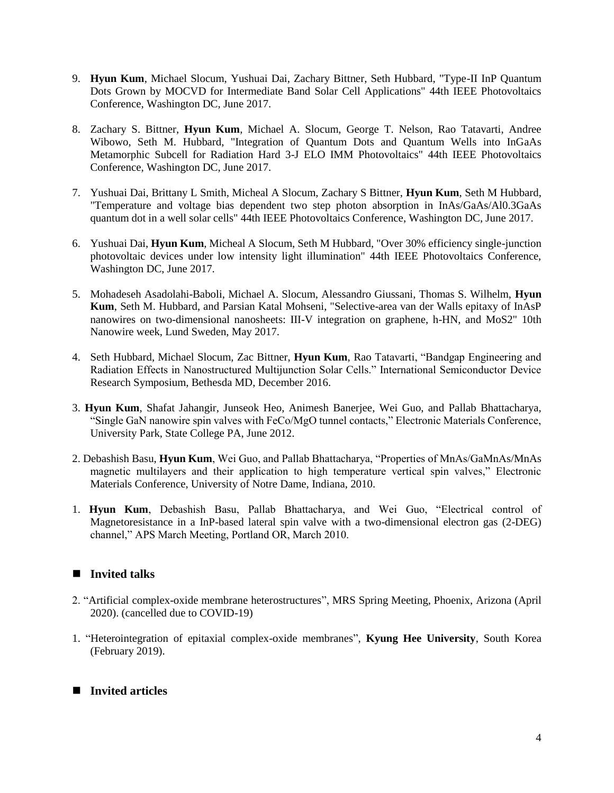- 9. **Hyun Kum**, Michael Slocum, Yushuai Dai, Zachary Bittner, Seth Hubbard, "Type-II InP Quantum Dots Grown by MOCVD for Intermediate Band Solar Cell Applications" 44th IEEE Photovoltaics Conference, Washington DC, June 2017.
- 8. Zachary S. Bittner, **Hyun Kum**, Michael A. Slocum, George T. Nelson, Rao Tatavarti, Andree Wibowo, Seth M. Hubbard, "Integration of Quantum Dots and Quantum Wells into InGaAs Metamorphic Subcell for Radiation Hard 3-J ELO IMM Photovoltaics" 44th IEEE Photovoltaics Conference, Washington DC, June 2017.
- 7. Yushuai Dai, Brittany L Smith, Micheal A Slocum, Zachary S Bittner, **Hyun Kum**, Seth M Hubbard, "Temperature and voltage bias dependent two step photon absorption in InAs/GaAs/Al0.3GaAs quantum dot in a well solar cells" 44th IEEE Photovoltaics Conference, Washington DC, June 2017.
- 6. Yushuai Dai, **Hyun Kum**, Micheal A Slocum, Seth M Hubbard, "Over 30% efficiency single-junction photovoltaic devices under low intensity light illumination" 44th IEEE Photovoltaics Conference, Washington DC, June 2017.
- 5. Mohadeseh Asadolahi-Baboli, Michael A. Slocum, Alessandro Giussani, Thomas S. Wilhelm, **Hyun Kum**, Seth M. Hubbard, and Parsian Katal Mohseni, "Selective-area van der Walls epitaxy of InAsP nanowires on two-dimensional nanosheets: III-V integration on graphene, h-HN, and MoS2" 10th Nanowire week, Lund Sweden, May 2017.
- 4. Seth Hubbard, Michael Slocum, Zac Bittner, **Hyun Kum**, Rao Tatavarti, "Bandgap Engineering and Radiation Effects in Nanostructured Multijunction Solar Cells." International Semiconductor Device Research Symposium, Bethesda MD, December 2016.
- 3. **Hyun Kum**, Shafat Jahangir, Junseok Heo, Animesh Banerjee, Wei Guo, and Pallab Bhattacharya, "Single GaN nanowire spin valves with FeCo/MgO tunnel contacts," Electronic Materials Conference, University Park, State College PA, June 2012.
- 2. Debashish Basu, **Hyun Kum**, Wei Guo, and Pallab Bhattacharya, "Properties of MnAs/GaMnAs/MnAs magnetic multilayers and their application to high temperature vertical spin valves," Electronic Materials Conference, University of Notre Dame, Indiana, 2010.
- 1. **Hyun Kum**, Debashish Basu, Pallab Bhattacharya, and Wei Guo, "Electrical control of Magnetoresistance in a InP-based lateral spin valve with a two-dimensional electron gas (2-DEG) channel," APS March Meeting, Portland OR, March 2010.

### ■ **Invited talks**

- 2. "Artificial complex-oxide membrane heterostructures", MRS Spring Meeting, Phoenix, Arizona (April 2020). (cancelled due to COVID-19)
- 1. "Heterointegration of epitaxial complex-oxide membranes", **Kyung Hee University**, South Korea (February 2019).

### ■ **Invited articles**